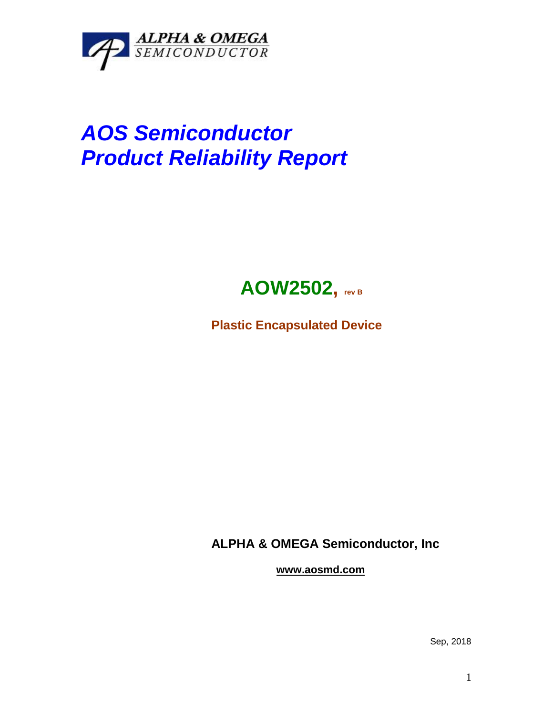

## *AOS Semiconductor Product Reliability Report*



**Plastic Encapsulated Device**

**ALPHA & OMEGA Semiconductor, Inc**

**www.aosmd.com**

Sep, 2018